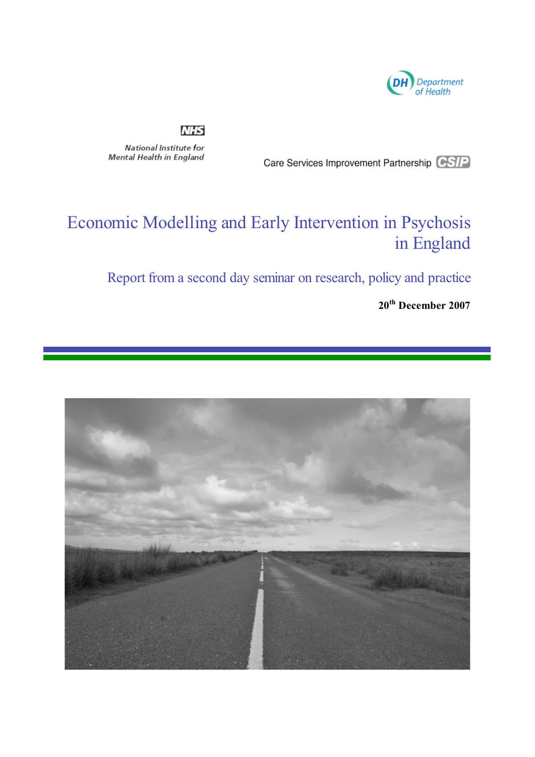

### **NHS**

National Institute for Mental Health in England

Care Services Improvement Partnership CSIP

# Economic Modelling and Early Intervention in Psychosis in England

Report from a second day seminar on research, policy and practice

**20th December 2007**

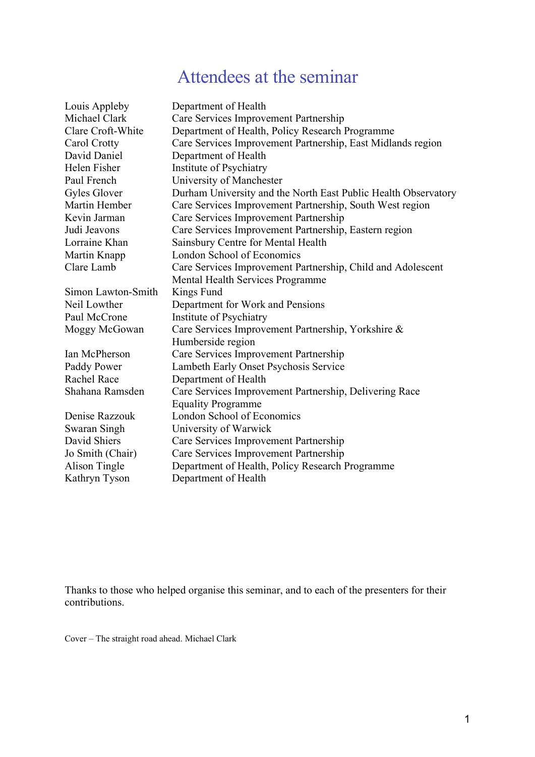## Attendees at the seminar

| Louis Appleby        | Department of Health                                           |
|----------------------|----------------------------------------------------------------|
| Michael Clark        | Care Services Improvement Partnership                          |
| Clare Croft-White    | Department of Health, Policy Research Programme                |
| Carol Crotty         | Care Services Improvement Partnership, East Midlands region    |
| David Daniel         | Department of Health                                           |
| Helen Fisher         | Institute of Psychiatry                                        |
| Paul French          | University of Manchester                                       |
| Gyles Glover         | Durham University and the North East Public Health Observatory |
| <b>Martin Hember</b> | Care Services Improvement Partnership, South West region       |
| Kevin Jarman         | Care Services Improvement Partnership                          |
| Judi Jeavons         | Care Services Improvement Partnership, Eastern region          |
| Lorraine Khan        | Sainsbury Centre for Mental Health                             |
| Martin Knapp         | London School of Economics                                     |
| Clare Lamb           | Care Services Improvement Partnership, Child and Adolescent    |
|                      | Mental Health Services Programme                               |
| Simon Lawton-Smith   | Kings Fund                                                     |
| Neil Lowther         | Department for Work and Pensions                               |
| Paul McCrone         | Institute of Psychiatry                                        |
| Moggy McGowan        | Care Services Improvement Partnership, Yorkshire &             |
|                      | Humberside region                                              |
| Ian McPherson        | Care Services Improvement Partnership                          |
| Paddy Power          | Lambeth Early Onset Psychosis Service                          |
| Rachel Race          | Department of Health                                           |
| Shahana Ramsden      | Care Services Improvement Partnership, Delivering Race         |
|                      | <b>Equality Programme</b>                                      |
| Denise Razzouk       | London School of Economics                                     |
| Swaran Singh         | University of Warwick                                          |
| David Shiers         | Care Services Improvement Partnership                          |
| Jo Smith (Chair)     | Care Services Improvement Partnership                          |
| Alison Tingle        | Department of Health, Policy Research Programme                |
| Kathryn Tyson        | Department of Health                                           |

Thanks to those who helped organise this seminar, and to each of the presenters for their contributions.

Cover – The straight road ahead. Michael Clark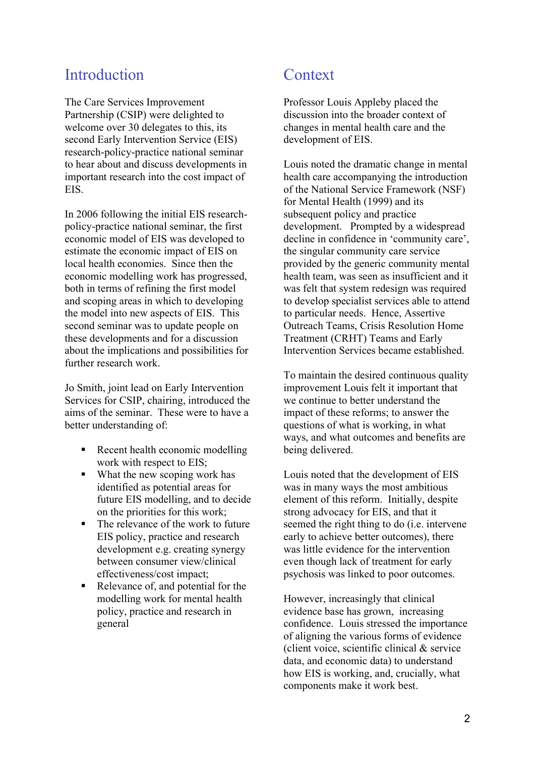### Introduction

The Care Services Improvement Partnership (CSIP) were delighted to welcome over 30 delegates to this, its second Early Intervention Service (EIS) research-policy-practice national seminar to hear about and discuss developments in important research into the cost impact of EIS.

In 2006 following the initial EIS researchpolicy-practice national seminar, the first economic model of EIS was developed to estimate the economic impact of EIS on local health economies. Since then the economic modelling work has progressed, both in terms of refining the first model and scoping areas in which to developing the model into new aspects of EIS. This second seminar was to update people on these developments and for a discussion about the implications and possibilities for further research work.

Jo Smith, joint lead on Early Intervention Services for CSIP, chairing, introduced the aims of the seminar. These were to have a better understanding of:

- Recent health economic modelling work with respect to EIS;
- What the new scoping work has identified as potential areas for future EIS modelling, and to decide on the priorities for this work;
- The relevance of the work to future EIS policy, practice and research development e.g. creating synergy between consumer view/clinical effectiveness/cost impact;
- Relevance of, and potential for the modelling work for mental health policy, practice and research in general

### **Context**

Professor Louis Appleby placed the discussion into the broader context of changes in mental health care and the development of EIS.

Louis noted the dramatic change in mental health care accompanying the introduction of the National Service Framework (NSF) for Mental Health (1999) and its subsequent policy and practice development. Prompted by a widespread decline in confidence in 'community care', the singular community care service provided by the generic community mental health team, was seen as insufficient and it was felt that system redesign was required to develop specialist services able to attend to particular needs. Hence, Assertive Outreach Teams, Crisis Resolution Home Treatment (CRHT) Teams and Early Intervention Services became established.

To maintain the desired continuous quality improvement Louis felt it important that we continue to better understand the impact of these reforms; to answer the questions of what is working, in what ways, and what outcomes and benefits are being delivered.

Louis noted that the development of EIS was in many ways the most ambitious element of this reform. Initially, despite strong advocacy for EIS, and that it seemed the right thing to do (i.e. intervene early to achieve better outcomes), there was little evidence for the intervention even though lack of treatment for early psychosis was linked to poor outcomes.

However, increasingly that clinical evidence base has grown, increasing confidence. Louis stressed the importance of aligning the various forms of evidence (client voice, scientific clinical & service data, and economic data) to understand how EIS is working, and, crucially, what components make it work best.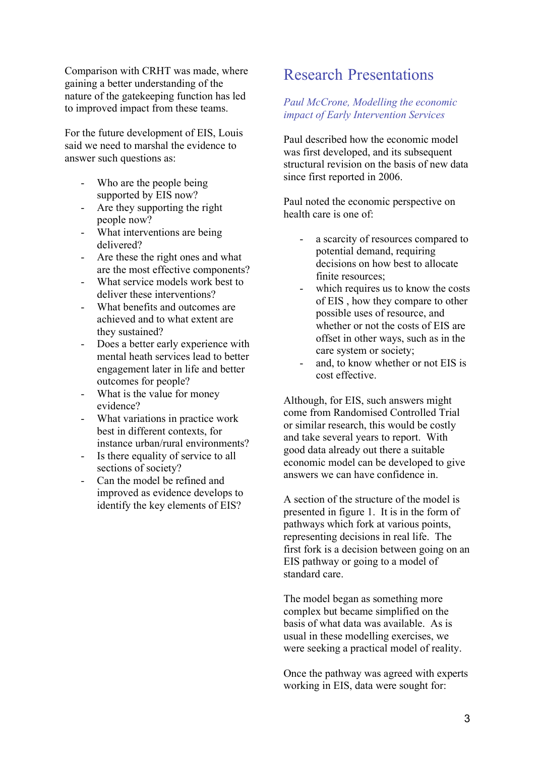Comparison with CRHT was made, where gaining a better understanding of the nature of the gatekeeping function has led to improved impact from these teams.

For the future development of EIS, Louis said we need to marshal the evidence to answer such questions as:

- Who are the people being supported by EIS now?
- Are they supporting the right people now?
- What interventions are being delivered?
- Are these the right ones and what are the most effective components?
- What service models work best to deliver these interventions?
- What benefits and outcomes are achieved and to what extent are they sustained?
- Does a better early experience with mental heath services lead to better engagement later in life and better outcomes for people?
- What is the value for money evidence?
- What variations in practice work best in different contexts, for instance urban/rural environments?
- Is there equality of service to all sections of society?
- Can the model be refined and improved as evidence develops to identify the key elements of EIS?

### Research Presentations

#### *Paul McCrone, Modelling the economic impact of Early Intervention Services*

Paul described how the economic model was first developed, and its subsequent structural revision on the basis of new data since first reported in 2006.

Paul noted the economic perspective on health care is one of:

- a scarcity of resources compared to potential demand, requiring decisions on how best to allocate finite resources;
- which requires us to know the costs of EIS , how they compare to other possible uses of resource, and whether or not the costs of EIS are offset in other ways, such as in the care system or society;
- and, to know whether or not EIS is cost effective.

Although, for EIS, such answers might come from Randomised Controlled Trial or similar research, this would be costly and take several years to report. With good data already out there a suitable economic model can be developed to give answers we can have confidence in.

A section of the structure of the model is presented in figure 1. It is in the form of pathways which fork at various points, representing decisions in real life. The first fork is a decision between going on an EIS pathway or going to a model of standard care.

The model began as something more complex but became simplified on the basis of what data was available. As is usual in these modelling exercises, we were seeking a practical model of reality.

Once the pathway was agreed with experts working in EIS, data were sought for: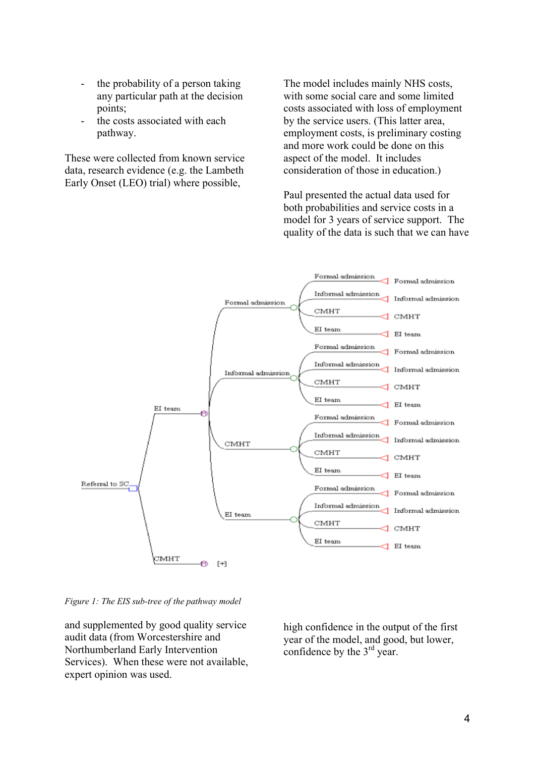- the probability of a person taking any particular path at the decision points;
- the costs associated with each pathway.

These were collected from known service data, research evidence (e.g. the Lambeth Early Onset (LEO) trial) where possible,

The model includes mainly NHS costs, with some social care and some limited costs associated with loss of employment by the service users. (This latter area, employment costs, is preliminary costing and more work could be done on this aspect of the model. It includes consideration of those in education.)

Paul presented the actual data used for both probabilities and service costs in a model for 3 years of service support. The quality of the data is such that we can have



*Figure 1: The EIS sub-tree of the pathway model*

and supplemented by good quality service audit data (from Worcestershire and Northumberland Early Intervention Services). When these were not available, expert opinion was used.

high confidence in the output of the first year of the model, and good, but lower, confidence by the  $3<sup>rd</sup>$  year.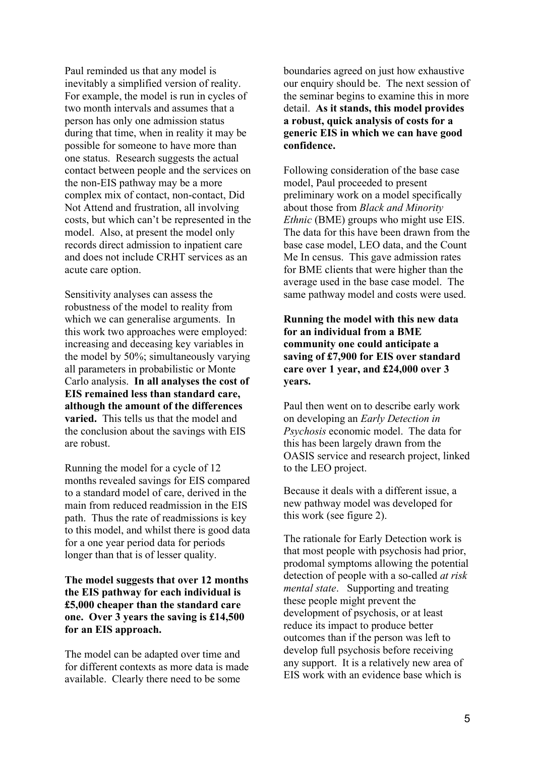Paul reminded us that any model is inevitably a simplified version of reality. For example, the model is run in cycles of two month intervals and assumes that a person has only one admission status during that time, when in reality it may be possible for someone to have more than one status. Research suggests the actual contact between people and the services on the non-EIS pathway may be a more complex mix of contact, non-contact, Did Not Attend and frustration, all involving costs, but which can't be represented in the model. Also, at present the model only records direct admission to inpatient care and does not include CRHT services as an acute care option.

Sensitivity analyses can assess the robustness of the model to reality from which we can generalise arguments. In this work two approaches were employed: increasing and deceasing key variables in the model by 50%; simultaneously varying all parameters in probabilistic or Monte Carlo analysis. **In all analyses the cost of EIS remained less than standard care, although the amount of the differences varied.** This tells us that the model and the conclusion about the savings with EIS are robust.

Running the model for a cycle of 12 months revealed savings for EIS compared to a standard model of care, derived in the main from reduced readmission in the EIS path. Thus the rate of readmissions is key to this model, and whilst there is good data for a one year period data for periods longer than that is of lesser quality.

#### **The model suggests that over 12 months the EIS pathway for each individual is £5,000 cheaper than the standard care one. Over 3 years the saving is £14,500 for an EIS approach.**

The model can be adapted over time and for different contexts as more data is made available. Clearly there need to be some

boundaries agreed on just how exhaustive our enquiry should be. The next session of the seminar begins to examine this in more detail. **As it stands, this model provides a robust, quick analysis of costs for a generic EIS in which we can have good confidence.**

Following consideration of the base case model, Paul proceeded to present preliminary work on a model specifically about those from *Black and Minority Ethnic* (BME) groups who might use EIS. The data for this have been drawn from the base case model, LEO data, and the Count Me In census. This gave admission rates for BME clients that were higher than the average used in the base case model. The same pathway model and costs were used.

#### **Running the model with this new data for an individual from a BME community one could anticipate a saving of £7,900 for EIS over standard care over 1 year, and £24,000 over 3 years.**

Paul then went on to describe early work on developing an *Early Detection in Psychosis* economic model. The data for this has been largely drawn from the OASIS service and research project, linked to the LEO project.

Because it deals with a different issue, a new pathway model was developed for this work (see figure 2).

The rationale for Early Detection work is that most people with psychosis had prior, prodomal symptoms allowing the potential detection of people with a so-called *at risk mental state*. Supporting and treating these people might prevent the development of psychosis, or at least reduce its impact to produce better outcomes than if the person was left to develop full psychosis before receiving any support. It is a relatively new area of EIS work with an evidence base which is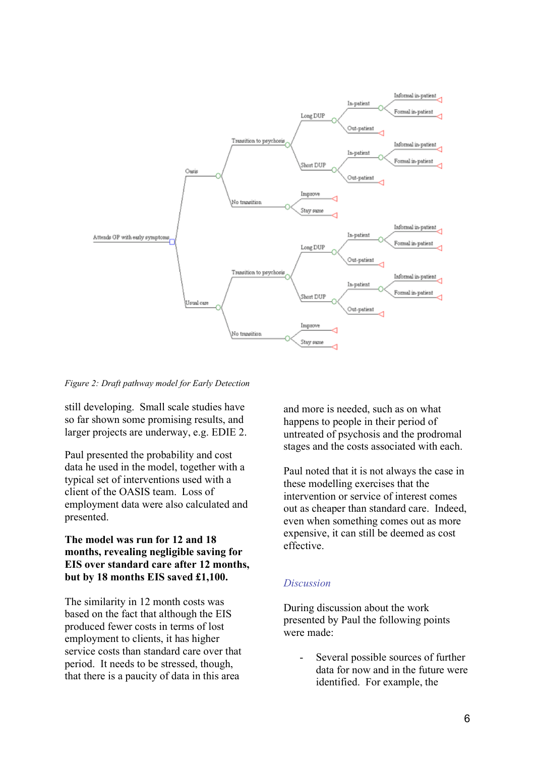

*Figure 2: Draft pathway model for Early Detection*

still developing. Small scale studies have so far shown some promising results, and larger projects are underway, e.g. EDIE 2.

Paul presented the probability and cost data he used in the model, together with a typical set of interventions used with a client of the OASIS team. Loss of employment data were also calculated and presented.

#### **The model was run for 12 and 18 months, revealing negligible saving for EIS over standard care after 12 months, but by 18 months EIS saved £1,100.**

The similarity in 12 month costs was based on the fact that although the EIS produced fewer costs in terms of lost employment to clients, it has higher service costs than standard care over that period. It needs to be stressed, though, that there is a paucity of data in this area

and more is needed, such as on what happens to people in their period of untreated of psychosis and the prodromal stages and the costs associated with each.

Paul noted that it is not always the case in these modelling exercises that the intervention or service of interest comes out as cheaper than standard care. Indeed, even when something comes out as more expensive, it can still be deemed as cost effective.

#### *Discussion*

During discussion about the work presented by Paul the following points were made:

- Several possible sources of further data for now and in the future were identified. For example, the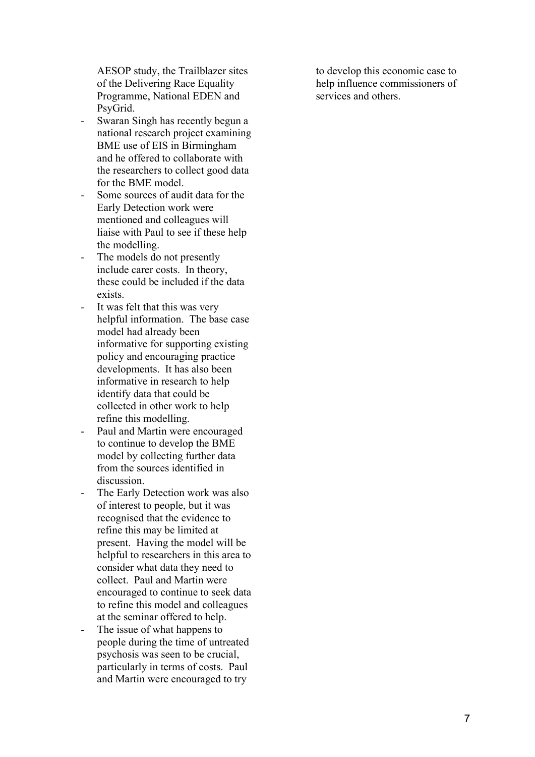AESOP study, the Trailblazer sites of the Delivering Race Equality Programme, National EDEN and PsyGrid.

- Swaran Singh has recently begun a national research project examining BME use of EIS in Birmingham and he offered to collaborate with the researchers to collect good data for the BME model.
- Some sources of audit data for the Early Detection work were mentioned and colleagues will liaise with Paul to see if these help the modelling.
- The models do not presently include carer costs. In theory, these could be included if the data exists.
- It was felt that this was very helpful information. The base case model had already been informative for supporting existing policy and encouraging practice developments. It has also been informative in research to help identify data that could be collected in other work to help refine this modelling.
- Paul and Martin were encouraged to continue to develop the BME model by collecting further data from the sources identified in discussion.
- The Early Detection work was also of interest to people, but it was recognised that the evidence to refine this may be limited at present. Having the model will be helpful to researchers in this area to consider what data they need to collect. Paul and Martin were encouraged to continue to seek data to refine this model and colleagues at the seminar offered to help.
- The issue of what happens to people during the time of untreated psychosis was seen to be crucial, particularly in terms of costs. Paul and Martin were encouraged to try

to develop this economic case to help influence commissioners of services and others.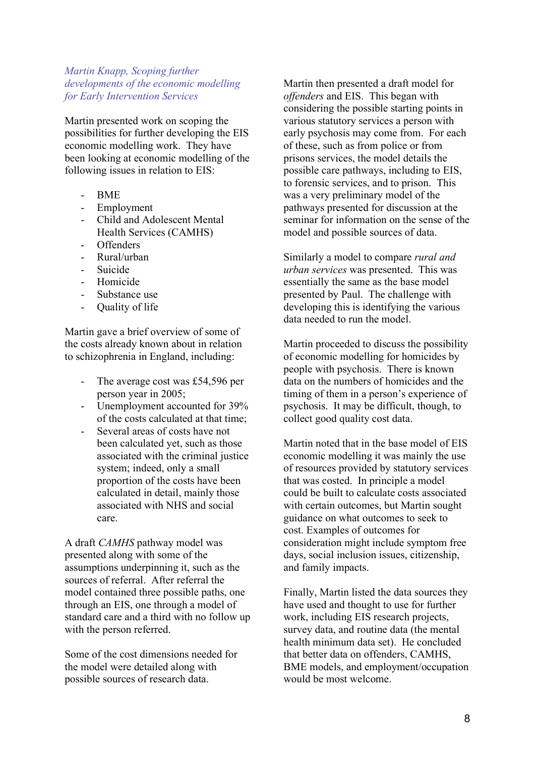#### *Martin Knapp, Scoping further developments of the economic modelling for Early Intervention Services*

Martin presented work on scoping the possibilities for further developing the EIS economic modelling work. They have been looking at economic modelling of the following issues in relation to EIS:

- BME
- Employment
- Child and Adolescent Mental Health Services (CAMHS)
- Offenders
- Rural/urban
- Suicide
- Homicide
- Substance use
- Quality of life

Martin gave a brief overview of some of the costs already known about in relation to schizophrenia in England, including:

- The average cost was £54,596 per person year in 2005;
- Unemployment accounted for 39% of the costs calculated at that time;
- Several areas of costs have not been calculated yet, such as those associated with the criminal justice system; indeed, only a small proportion of the costs have been calculated in detail, mainly those associated with NHS and social care.

A draft *CAMHS* pathway model was presented along with some of the assumptions underpinning it, such as the sources of referral. After referral the model contained three possible paths, one through an EIS, one through a model of standard care and a third with no follow up with the person referred.

Some of the cost dimensions needed for the model were detailed along with possible sources of research data.

Martin then presented a draft model for *offenders* and EIS. This began with considering the possible starting points in various statutory services a person with early psychosis may come from. For each of these, such as from police or from prisons services, the model details the possible care pathways, including to EIS, to forensic services, and to prison. This was a very preliminary model of the pathways presented for discussion at the seminar for information on the sense of the model and possible sources of data.

Similarly a model to compare *rural and urban services* was presented. This was essentially the same as the base model presented by Paul. The challenge with developing this is identifying the various data needed to run the model.

Martin proceeded to discuss the possibility of economic modelling for homicides by people with psychosis. There is known data on the numbers of homicides and the timing of them in a person's experience of psychosis. It may be difficult, though, to collect good quality cost data.

Martin noted that in the base model of EIS economic modelling it was mainly the use of resources provided by statutory services that was costed. In principle a model could be built to calculate costs associated with certain outcomes, but Martin sought guidance on what outcomes to seek to cost. Examples of outcomes for consideration might include symptom free days, social inclusion issues, citizenship, and family impacts.

Finally, Martin listed the data sources they have used and thought to use for further work, including EIS research projects, survey data, and routine data (the mental health minimum data set). He concluded that better data on offenders, CAMHS, BME models, and employment/occupation would be most welcome.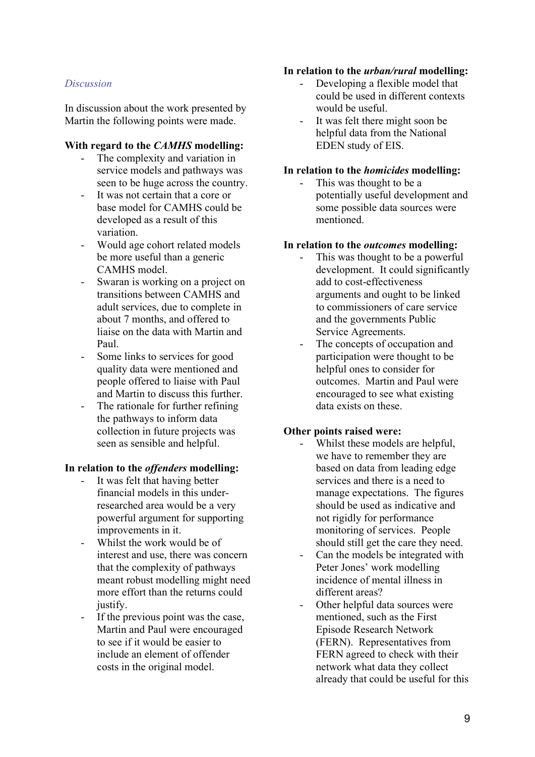#### **In relation to the** *urban/rural* **modelling:**

#### *Discussion*

In discussion about the work presented by Martin the following points were made.

#### **With regard to the** *CAMHS* **modelling:**

- The complexity and variation in service models and pathways was seen to be huge across the country.
- It was not certain that a core or base model for CAMHS could be developed as a result of this variation.
- Would age cohort related models be more useful than a generic CAMHS model.
- Swaran is working on a project on transitions between CAMHS and adult services, due to complete in about 7 months, and offered to liaise on the data with Martin and Paul.
- Some links to services for good quality data were mentioned and people offered to liaise with Paul and Martin to discuss this further.
- The rationale for further refining the pathways to inform data collection in future projects was seen as sensible and helpful.

#### **In relation to the** *offenders* **modelling:**

- It was felt that having better financial models in this underresearched area would be a very powerful argument for supporting improvements in it.
- Whilst the work would be of interest and use, there was concern that the complexity of pathways meant robust modelling might need more effort than the returns could justify.
- If the previous point was the case, Martin and Paul were encouraged to see if it would be easier to include an element of offender costs in the original model.
- Developing a flexible model that could be used in different contexts would be useful.
- It was felt there might soon be helpful data from the National EDEN study of EIS.

#### **In relation to the** *homicides* **modelling:**

This was thought to be a potentially useful development and some possible data sources were mentioned.

#### **In relation to the** *outcomes* **modelling:**

- This was thought to be a powerful development. It could significantly add to cost-effectiveness arguments and ought to be linked to commissioners of care service and the governments Public Service Agreements.
	- The concepts of occupation and participation were thought to be helpful ones to consider for outcomes. Martin and Paul were encouraged to see what existing data exists on these.

#### **Other points raised were:**

- Whilst these models are helpful, we have to remember they are based on data from leading edge services and there is a need to manage expectations. The figures should be used as indicative and not rigidly for performance monitoring of services. People should still get the care they need.
- Can the models be integrated with Peter Jones' work modelling incidence of mental illness in different areas?
- Other helpful data sources were mentioned, such as the First Episode Research Network (FERN). Representatives from FERN agreed to check with their network what data they collect already that could be useful for this